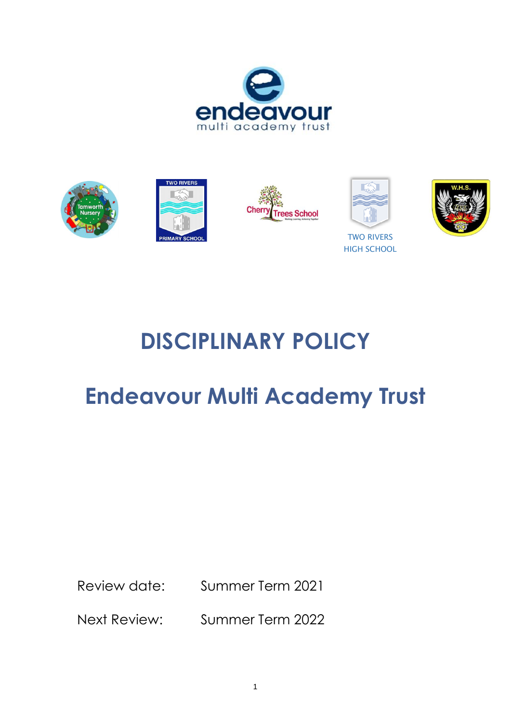





**DISCIPLINARY POLICY**

# **Endeavour Multi Academy Trust**

Review date: Summer Term 2021

Next Review: Summer Term 2022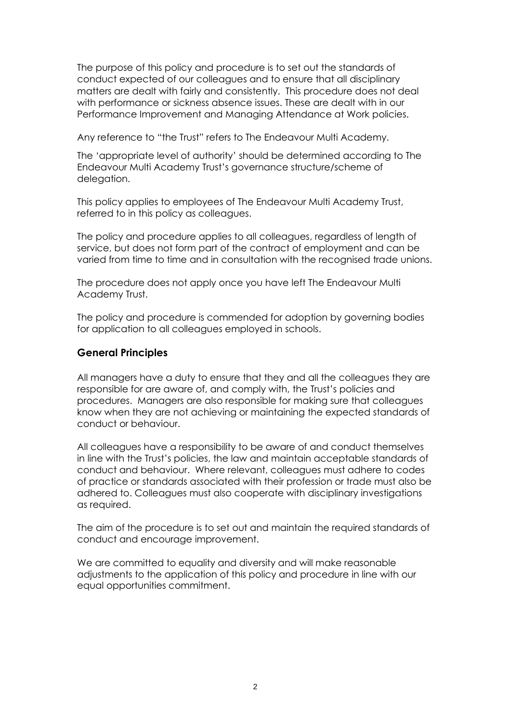The purpose of this policy and procedure is to set out the standards of conduct expected of our colleagues and to ensure that all disciplinary matters are dealt with fairly and consistently. This procedure does not deal with performance or sickness absence issues. These are dealt with in our Performance Improvement and Managing Attendance at Work policies.

Any reference to "the Trust" refers to The Endeavour Multi Academy.

The 'appropriate level of authority' should be determined according to The Endeavour Multi Academy Trust's governance structure/scheme of delegation.

This policy applies to employees of The Endeavour Multi Academy Trust, referred to in this policy as colleagues.

The policy and procedure applies to all colleagues, regardless of length of service, but does not form part of the contract of employment and can be varied from time to time and in consultation with the recognised trade unions.

The procedure does not apply once you have left The Endeavour Multi Academy Trust.

The policy and procedure is commended for adoption by governing bodies for application to all colleagues employed in schools.

#### **General Principles**

All managers have a duty to ensure that they and all the colleagues they are responsible for are aware of, and comply with, the Trust's policies and procedures. Managers are also responsible for making sure that colleagues know when they are not achieving or maintaining the expected standards of conduct or behaviour.

All colleagues have a responsibility to be aware of and conduct themselves in line with the Trust's policies, the law and maintain acceptable standards of conduct and behaviour. Where relevant, colleagues must adhere to codes of practice or standards associated with their profession or trade must also be adhered to. Colleagues must also cooperate with disciplinary investigations as required.

The aim of the procedure is to set out and maintain the required standards of conduct and encourage improvement.

We are committed to equality and diversity and will make reasonable adjustments to the application of this policy and procedure in line with our equal opportunities commitment.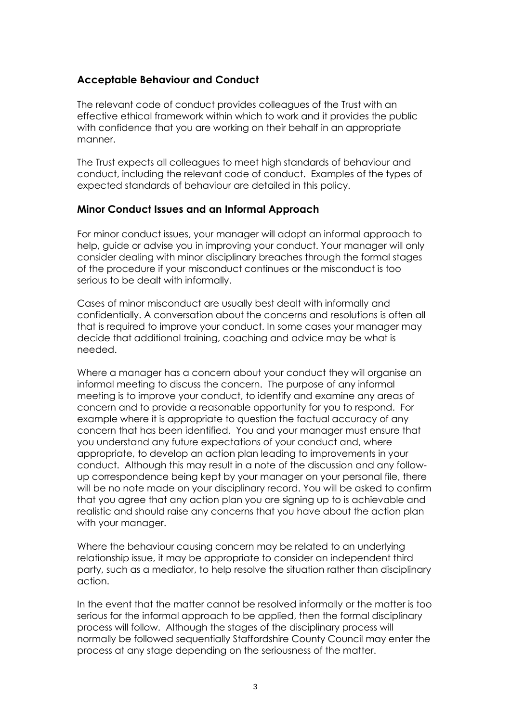## **Acceptable Behaviour and Conduct**

The relevant code of conduct provides colleagues of the Trust with an effective ethical framework within which to work and it provides the public with confidence that you are working on their behalf in an appropriate manner.

The Trust expects all colleagues to meet high standards of behaviour and conduct, including the relevant code of conduct. Examples of the types of expected standards of behaviour are detailed in this policy.

## **Minor Conduct Issues and an Informal Approach**

For minor conduct issues, your manager will adopt an informal approach to help, guide or advise you in improving your conduct. Your manager will only consider dealing with minor disciplinary breaches through the formal stages of the procedure if your misconduct continues or the misconduct is too serious to be dealt with informally.

Cases of minor misconduct are usually best dealt with informally and confidentially. A conversation about the concerns and resolutions is often all that is required to improve your conduct. In some cases your manager may decide that additional training, coaching and advice may be what is needed.

Where a manager has a concern about your conduct they will organise an informal meeting to discuss the concern. The purpose of any informal meeting is to improve your conduct, to identify and examine any areas of concern and to provide a reasonable opportunity for you to respond. For example where it is appropriate to question the factual accuracy of any concern that has been identified. You and your manager must ensure that you understand any future expectations of your conduct and, where appropriate, to develop an action plan leading to improvements in your conduct. Although this may result in a note of the discussion and any followup correspondence being kept by your manager on your personal file, there will be no note made on your disciplinary record. You will be asked to confirm that you agree that any action plan you are signing up to is achievable and realistic and should raise any concerns that you have about the action plan with your manager.

Where the behaviour causing concern may be related to an underlying relationship issue, it may be appropriate to consider an independent third party, such as a mediator, to help resolve the situation rather than disciplinary action.

In the event that the matter cannot be resolved informally or the matter is too serious for the informal approach to be applied, then the formal disciplinary process will follow. Although the stages of the disciplinary process will normally be followed sequentially Staffordshire County Council may enter the process at any stage depending on the seriousness of the matter.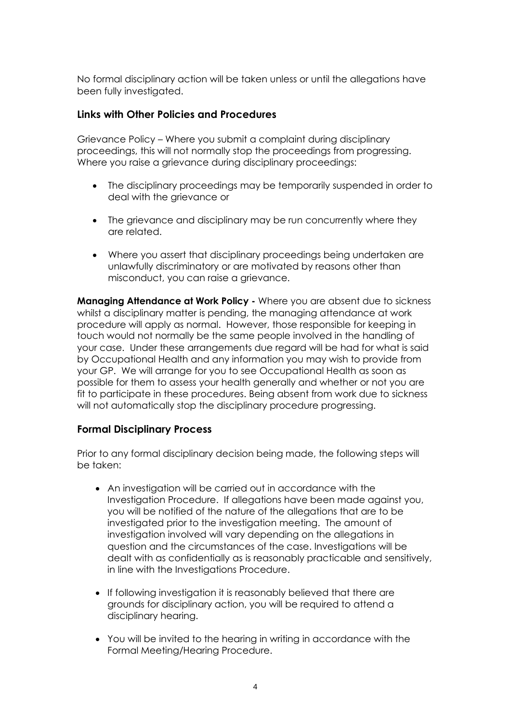No formal disciplinary action will be taken unless or until the allegations have been fully investigated.

#### **Links with Other Policies and Procedures**

Grievance Policy – Where you submit a complaint during disciplinary proceedings, this will not normally stop the proceedings from progressing. Where you raise a grievance during disciplinary proceedings:

- The disciplinary proceedings may be temporarily suspended in order to deal with the grievance or
- The grievance and disciplinary may be run concurrently where they are related.
- Where you assert that disciplinary proceedings being undertaken are unlawfully discriminatory or are motivated by reasons other than misconduct, you can raise a grievance.

**Managing Attendance at Work Policy -** Where you are absent due to sickness whilst a disciplinary matter is pending, the managing attendance at work procedure will apply as normal. However, those responsible for keeping in touch would not normally be the same people involved in the handling of your case. Under these arrangements due regard will be had for what is said by Occupational Health and any information you may wish to provide from your GP. We will arrange for you to see Occupational Health as soon as possible for them to assess your health generally and whether or not you are fit to participate in these procedures. Being absent from work due to sickness will not automatically stop the disciplinary procedure progressing.

#### **Formal Disciplinary Process**

Prior to any formal disciplinary decision being made, the following steps will be taken:

- An investigation will be carried out in accordance with the Investigation Procedure. If allegations have been made against you, you will be notified of the nature of the allegations that are to be investigated prior to the investigation meeting. The amount of investigation involved will vary depending on the allegations in question and the circumstances of the case. Investigations will be dealt with as confidentially as is reasonably practicable and sensitively, in line with the Investigations Procedure.
- If following investigation it is reasonably believed that there are grounds for disciplinary action, you will be required to attend a disciplinary hearing.
- You will be invited to the hearing in writing in accordance with the Formal Meeting/Hearing Procedure.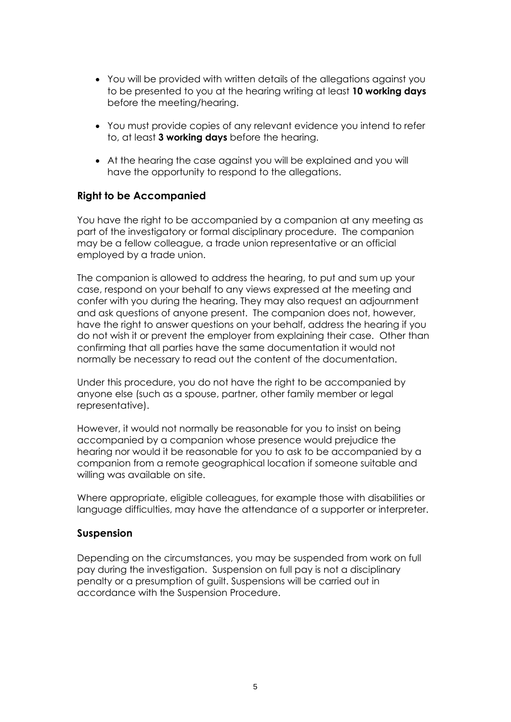- You will be provided with written details of the allegations against you to be presented to you at the hearing writing at least **10 working days** before the meeting/hearing.
- You must provide copies of any relevant evidence you intend to refer to, at least **3 working days** before the hearing.
- At the hearing the case against you will be explained and you will have the opportunity to respond to the allegations.

#### **Right to be Accompanied**

You have the right to be accompanied by a companion at any meeting as part of the investigatory or formal disciplinary procedure. The companion may be a fellow colleague, a trade union representative or an official employed by a trade union.

The companion is allowed to address the hearing, to put and sum up your case, respond on your behalf to any views expressed at the meeting and confer with you during the hearing. They may also request an adjournment and ask questions of anyone present. The companion does not, however, have the right to answer questions on your behalf, address the hearing if you do not wish it or prevent the employer from explaining their case. Other than confirming that all parties have the same documentation it would not normally be necessary to read out the content of the documentation.

Under this procedure, you do not have the right to be accompanied by anyone else (such as a spouse, partner, other family member or legal representative).

However, it would not normally be reasonable for you to insist on being accompanied by a companion whose presence would prejudice the hearing nor would it be reasonable for you to ask to be accompanied by a companion from a remote geographical location if someone suitable and willing was available on site.

Where appropriate, eligible colleagues, for example those with disabilities or language difficulties, may have the attendance of a supporter or interpreter.

#### **Suspension**

Depending on the circumstances, you may be suspended from work on full pay during the investigation. Suspension on full pay is not a disciplinary penalty or a presumption of guilt. Suspensions will be carried out in accordance with the Suspension Procedure.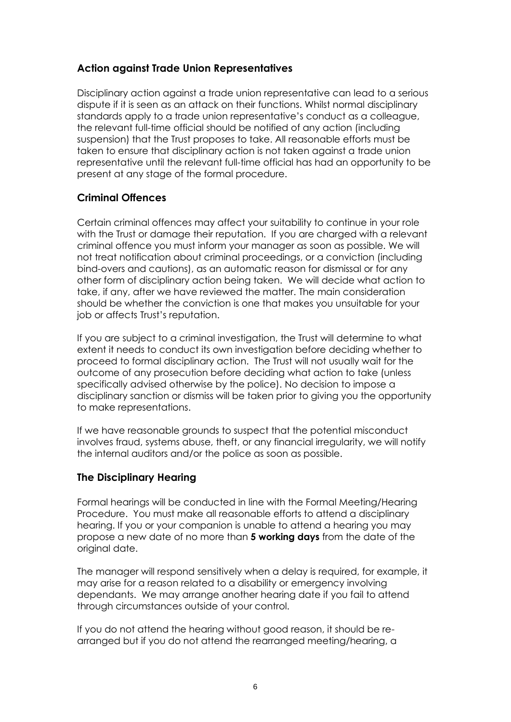## **Action against Trade Union Representatives**

Disciplinary action against a trade union representative can lead to a serious dispute if it is seen as an attack on their functions. Whilst normal disciplinary standards apply to a trade union representative's conduct as a colleague, the relevant full-time official should be notified of any action (including suspension) that the Trust proposes to take. All reasonable efforts must be taken to ensure that disciplinary action is not taken against a trade union representative until the relevant full-time official has had an opportunity to be present at any stage of the formal procedure.

## **Criminal Offences**

Certain criminal offences may affect your suitability to continue in your role with the Trust or damage their reputation. If you are charged with a relevant criminal offence you must inform your manager as soon as possible. We will not treat notification about criminal proceedings, or a conviction (including bind-overs and cautions), as an automatic reason for dismissal or for any other form of disciplinary action being taken. We will decide what action to take, if any, after we have reviewed the matter. The main consideration should be whether the conviction is one that makes you unsuitable for your job or affects Trust's reputation.

If you are subject to a criminal investigation, the Trust will determine to what extent it needs to conduct its own investigation before deciding whether to proceed to formal disciplinary action. The Trust will not usually wait for the outcome of any prosecution before deciding what action to take (unless specifically advised otherwise by the police). No decision to impose a disciplinary sanction or dismiss will be taken prior to giving you the opportunity to make representations.

If we have reasonable grounds to suspect that the potential misconduct involves fraud, systems abuse, theft, or any financial irregularity, we will notify the internal auditors and/or the police as soon as possible.

## **The Disciplinary Hearing**

Formal hearings will be conducted in line with the Formal Meeting/Hearing Procedure. You must make all reasonable efforts to attend a disciplinary hearing. If you or your companion is unable to attend a hearing you may propose a new date of no more than **5 working days** from the date of the original date.

The manager will respond sensitively when a delay is required, for example, it may arise for a reason related to a disability or emergency involving dependants. We may arrange another hearing date if you fail to attend through circumstances outside of your control.

If you do not attend the hearing without good reason, it should be rearranged but if you do not attend the rearranged meeting/hearing, a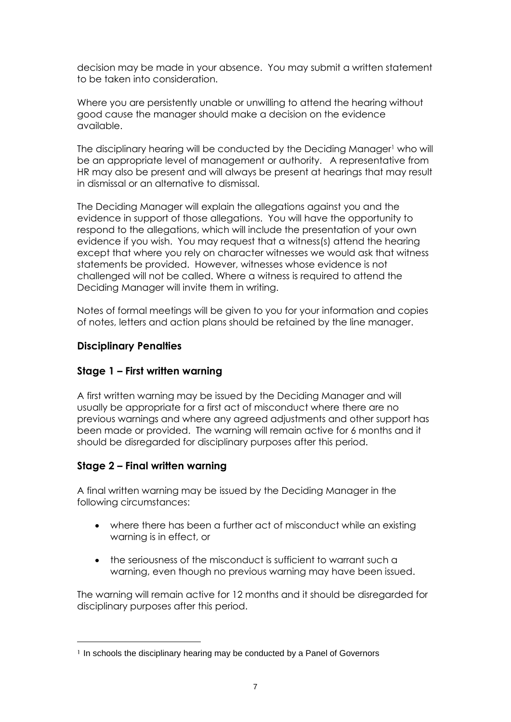decision may be made in your absence. You may submit a written statement to be taken into consideration.

Where you are persistently unable or unwilling to attend the hearing without good cause the manager should make a decision on the evidence available.

The disciplinary hearing will be conducted by the Deciding Manager<sup>1</sup> who will be an appropriate level of management or authority. A representative from HR may also be present and will always be present at hearings that may result in dismissal or an alternative to dismissal.

The Deciding Manager will explain the allegations against you and the evidence in support of those allegations. You will have the opportunity to respond to the allegations, which will include the presentation of your own evidence if you wish. You may request that a witness(s) attend the hearing except that where you rely on character witnesses we would ask that witness statements be provided. However, witnesses whose evidence is not challenged will not be called. Where a witness is required to attend the Deciding Manager will invite them in writing.

Notes of formal meetings will be given to you for your information and copies of notes, letters and action plans should be retained by the line manager.

## **Disciplinary Penalties**

## **Stage 1 – First written warning**

A first written warning may be issued by the Deciding Manager and will usually be appropriate for a first act of misconduct where there are no previous warnings and where any agreed adjustments and other support has been made or provided. The warning will remain active for 6 months and it should be disregarded for disciplinary purposes after this period.

## **Stage 2 – Final written warning**

A final written warning may be issued by the Deciding Manager in the following circumstances:

- where there has been a further act of misconduct while an existing warning is in effect, or
- the seriousness of the misconduct is sufficient to warrant such a warning, even though no previous warning may have been issued.

The warning will remain active for 12 months and it should be disregarded for disciplinary purposes after this period.

<sup>&</sup>lt;sup>1</sup> In schools the disciplinary hearing may be conducted by a Panel of Governors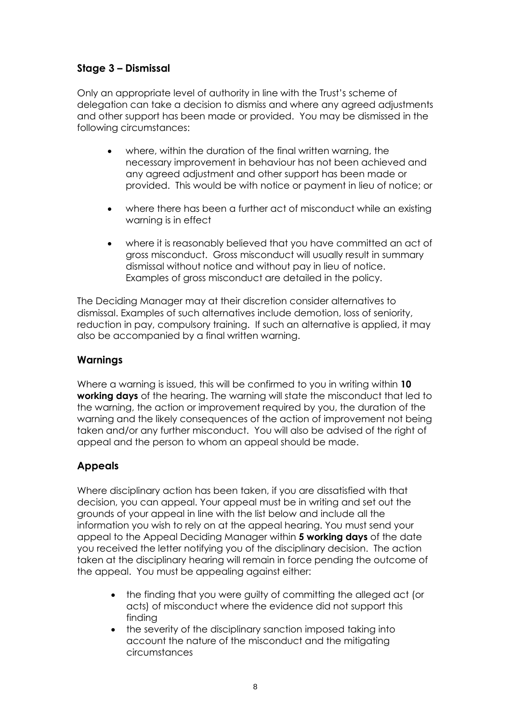# **Stage 3 – Dismissal**

Only an appropriate level of authority in line with the Trust's scheme of delegation can take a decision to dismiss and where any agreed adjustments and other support has been made or provided. You may be dismissed in the following circumstances:

- where, within the duration of the final written warning, the necessary improvement in behaviour has not been achieved and any agreed adjustment and other support has been made or provided. This would be with notice or payment in lieu of notice; or
- where there has been a further act of misconduct while an existing warning is in effect
- where it is reasonably believed that you have committed an act of gross misconduct. Gross misconduct will usually result in summary dismissal without notice and without pay in lieu of notice. Examples of gross misconduct are detailed in the policy.

The Deciding Manager may at their discretion consider alternatives to dismissal. Examples of such alternatives include demotion, loss of seniority, reduction in pay, compulsory training. If such an alternative is applied, it may also be accompanied by a final written warning.

## **Warnings**

Where a warning is issued, this will be confirmed to you in writing within **10 working days** of the hearing. The warning will state the misconduct that led to the warning, the action or improvement required by you, the duration of the warning and the likely consequences of the action of improvement not being taken and/or any further misconduct. You will also be advised of the right of appeal and the person to whom an appeal should be made.

# **Appeals**

Where disciplinary action has been taken, if you are dissatisfied with that decision, you can appeal. Your appeal must be in writing and set out the grounds of your appeal in line with the list below and include all the information you wish to rely on at the appeal hearing. You must send your appeal to the Appeal Deciding Manager within **5 working days** of the date you received the letter notifying you of the disciplinary decision. The action taken at the disciplinary hearing will remain in force pending the outcome of the appeal. You must be appealing against either:

- the finding that you were guilty of committing the alleged act (or acts) of misconduct where the evidence did not support this finding
- the severity of the disciplinary sanction imposed taking into account the nature of the misconduct and the mitigating circumstances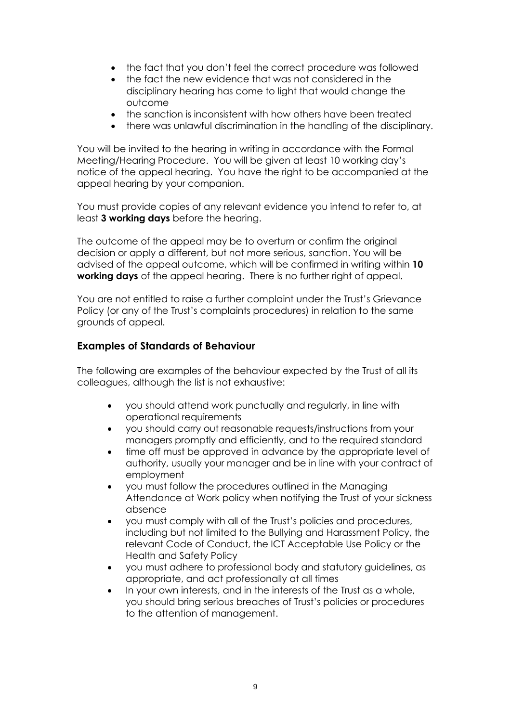- the fact that you don't feel the correct procedure was followed
- the fact the new evidence that was not considered in the disciplinary hearing has come to light that would change the outcome
- the sanction is inconsistent with how others have been treated
- there was unlawful discrimination in the handling of the disciplinary.

You will be invited to the hearing in writing in accordance with the Formal Meeting/Hearing Procedure. You will be given at least 10 working day's notice of the appeal hearing. You have the right to be accompanied at the appeal hearing by your companion.

You must provide copies of any relevant evidence you intend to refer to, at least **3 working days** before the hearing.

The outcome of the appeal may be to overturn or confirm the original decision or apply a different, but not more serious, sanction. You will be advised of the appeal outcome, which will be confirmed in writing within **10 working days** of the appeal hearing. There is no further right of appeal.

You are not entitled to raise a further complaint under the Trust's Grievance Policy (or any of the Trust's complaints procedures) in relation to the same grounds of appeal.

#### **Examples of Standards of Behaviour**

The following are examples of the behaviour expected by the Trust of all its colleagues, although the list is not exhaustive:

- you should attend work punctually and regularly, in line with operational requirements
- you should carry out reasonable requests/instructions from your managers promptly and efficiently, and to the required standard
- time off must be approved in advance by the appropriate level of authority, usually your manager and be in line with your contract of employment
- you must follow the procedures outlined in the Managing Attendance at Work policy when notifying the Trust of your sickness absence
- you must comply with all of the Trust's policies and procedures, including but not limited to the Bullying and Harassment Policy, the relevant Code of Conduct, the ICT Acceptable Use Policy or the Health and Safety Policy
- you must adhere to professional body and statutory guidelines, as appropriate, and act professionally at all times
- In your own interests, and in the interests of the Trust as a whole, you should bring serious breaches of Trust's policies or procedures to the attention of management.